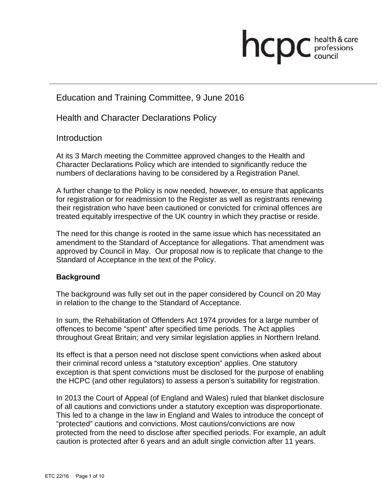# **health & care**

# Education and Training Committee, 9 June 2016

Health and Character Declarations Policy

#### **Introduction**

At its 3 March meeting the Committee approved changes to the Health and Character Declarations Policy which are intended to significantly reduce the numbers of declarations having to be considered by a Registration Panel.

A further change to the Policy is now needed, however, to ensure that applicants for registration or for readmission to the Register as well as registrants renewing their registration who have been cautioned or convicted for criminal offences are treated equitably irrespective of the UK country in which they practise or reside.

The need for this change is rooted in the same issue which has necessitated an amendment to the Standard of Acceptance for allegations. That amendment was approved by Council in May. Our proposal now is to replicate that change to the Standard of Acceptance in the text of the Policy.

#### **Background**

The background was fully set out in the paper considered by Council on 20 May in relation to the change to the Standard of Acceptance.

In sum, the Rehabilitation of Offenders Act 1974 provides for a large number of offences to become "spent" after specified time periods. The Act applies throughout Great Britain; and very similar legislation applies in Northern Ireland.

Its effect is that a person need not disclose spent convictions when asked about their criminal record unless a "statutory exception" applies. One statutory exception is that spent convictions must be disclosed for the purpose of enabling the HCPC (and other regulators) to assess a person's suitability for registration.

In 2013 the Court of Appeal (of England and Wales) ruled that blanket disclosure of all cautions and convictions under a statutory exception was disproportionate. This led to a change in the law in England and Wales to introduce the concept of "protected" cautions and convictions. Most cautions/convictions are now protected from the need to disclose after specified periods. For example, an adult caution is protected after 6 years and an adult single conviction after 11 years.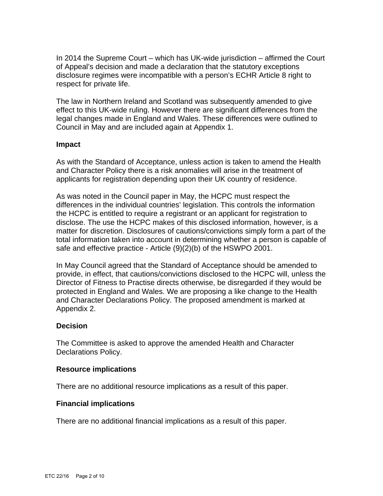In 2014 the Supreme Court – which has UK-wide jurisdiction – affirmed the Court of Appeal's decision and made a declaration that the statutory exceptions disclosure regimes were incompatible with a person's ECHR Article 8 right to respect for private life.

The law in Northern Ireland and Scotland was subsequently amended to give effect to this UK-wide ruling. However there are significant differences from the legal changes made in England and Wales. These differences were outlined to Council in May and are included again at Appendix 1.

#### **Impact**

As with the Standard of Acceptance, unless action is taken to amend the Health and Character Policy there is a risk anomalies will arise in the treatment of applicants for registration depending upon their UK country of residence.

As was noted in the Council paper in May, the HCPC must respect the differences in the individual countries' legislation. This controls the information the HCPC is entitled to require a registrant or an applicant for registration to disclose. The use the HCPC makes of this disclosed information, however, is a matter for discretion. Disclosures of cautions/convictions simply form a part of the total information taken into account in determining whether a person is capable of safe and effective practice - Article (9)(2)(b) of the HSWPO 2001.

In May Council agreed that the Standard of Acceptance should be amended to provide, in effect, that cautions/convictions disclosed to the HCPC will, unless the Director of Fitness to Practise directs otherwise, be disregarded if they would be protected in England and Wales. We are proposing a like change to the Health and Character Declarations Policy. The proposed amendment is marked at Appendix 2.

#### **Decision**

The Committee is asked to approve the amended Health and Character Declarations Policy.

#### **Resource implications**

There are no additional resource implications as a result of this paper.

#### **Financial implications**

There are no additional financial implications as a result of this paper.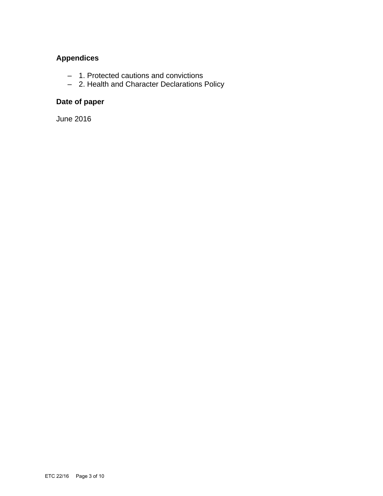## **Appendices**

- 1. Protected cautions and convictions
- 2. Health and Character Declarations Policy

# **Date of paper**

June 2016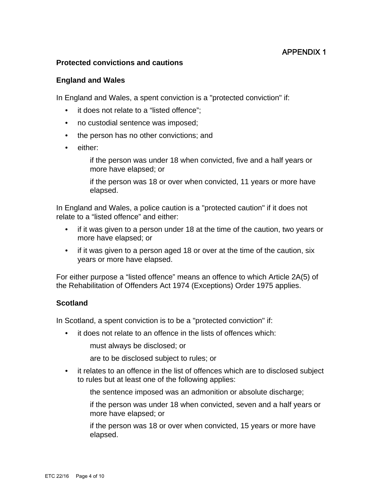### APPENDIX 1

#### **Protected convictions and cautions**

#### **England and Wales**

In England and Wales, a spent conviction is a "protected conviction" if:

- it does not relate to a "listed offence";
- no custodial sentence was imposed;
- the person has no other convictions; and
- either:

 if the person was under 18 when convicted, five and a half years or more have elapsed; or

 if the person was 18 or over when convicted, 11 years or more have elapsed.

In England and Wales, a police caution is a "protected caution" if it does not relate to a "listed offence" and either:

- if it was given to a person under 18 at the time of the caution, two years or more have elapsed; or
- if it was given to a person aged 18 or over at the time of the caution, six years or more have elapsed.

For either purpose a "listed offence" means an offence to which Article 2A(5) of the Rehabilitation of Offenders Act 1974 (Exceptions) Order 1975 applies.

#### **Scotland**

In Scotland, a spent conviction is to be a "protected conviction" if:

it does not relate to an offence in the lists of offences which:

must always be disclosed; or

are to be disclosed subject to rules; or

• it relates to an offence in the list of offences which are to disclosed subject to rules but at least one of the following applies:

the sentence imposed was an admonition or absolute discharge;

 if the person was under 18 when convicted, seven and a half years or more have elapsed; or

 if the person was 18 or over when convicted, 15 years or more have elapsed.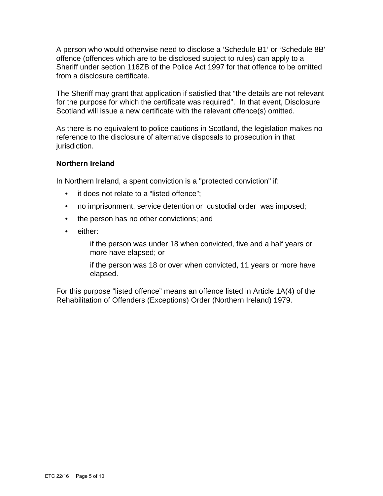A person who would otherwise need to disclose a 'Schedule B1' or 'Schedule 8B' offence (offences which are to be disclosed subject to rules) can apply to a Sheriff under section 116ZB of the Police Act 1997 for that offence to be omitted from a disclosure certificate.

The Sheriff may grant that application if satisfied that "the details are not relevant for the purpose for which the certificate was required". In that event, Disclosure Scotland will issue a new certificate with the relevant offence(s) omitted.

As there is no equivalent to police cautions in Scotland, the legislation makes no reference to the disclosure of alternative disposals to prosecution in that jurisdiction.

#### **Northern Ireland**

In Northern Ireland, a spent conviction is a "protected conviction" if:

- it does not relate to a "listed offence";
- no imprisonment, service detention or custodial order was imposed;
- the person has no other convictions; and
- either:

 if the person was under 18 when convicted, five and a half years or more have elapsed; or

 if the person was 18 or over when convicted, 11 years or more have elapsed.

For this purpose "listed offence" means an offence listed in Article 1A(4) of the Rehabilitation of Offenders (Exceptions) Order (Northern Ireland) 1979.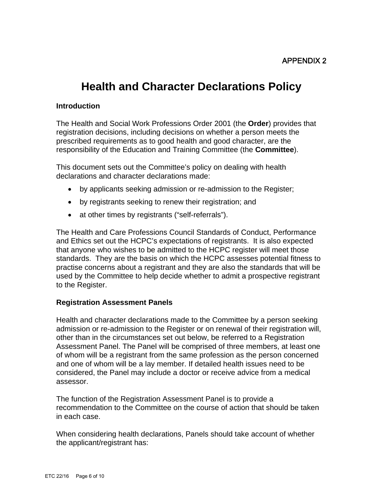# **Health and Character Declarations Policy**

#### **Introduction**

The Health and Social Work Professions Order 2001 (the **Order**) provides that registration decisions, including decisions on whether a person meets the prescribed requirements as to good health and good character, are the responsibility of the Education and Training Committee (the **Committee**).

This document sets out the Committee's policy on dealing with health declarations and character declarations made:

- by applicants seeking admission or re-admission to the Register;
- by registrants seeking to renew their registration; and
- at other times by registrants ("self-referrals").

The Health and Care Professions Council Standards of Conduct, Performance and Ethics set out the HCPC's expectations of registrants. It is also expected that anyone who wishes to be admitted to the HCPC register will meet those standards. They are the basis on which the HCPC assesses potential fitness to practise concerns about a registrant and they are also the standards that will be used by the Committee to help decide whether to admit a prospective registrant to the Register.

#### **Registration Assessment Panels**

Health and character declarations made to the Committee by a person seeking admission or re-admission to the Register or on renewal of their registration will, other than in the circumstances set out below, be referred to a Registration Assessment Panel. The Panel will be comprised of three members, at least one of whom will be a registrant from the same profession as the person concerned and one of whom will be a lay member. If detailed health issues need to be considered, the Panel may include a doctor or receive advice from a medical assessor.

The function of the Registration Assessment Panel is to provide a recommendation to the Committee on the course of action that should be taken in each case.

When considering health declarations, Panels should take account of whether the applicant/registrant has: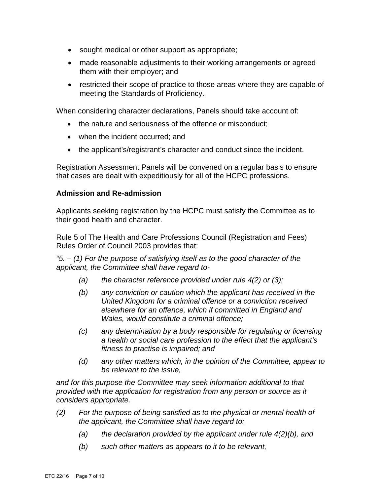- sought medical or other support as appropriate;
- made reasonable adjustments to their working arrangements or agreed them with their employer; and
- restricted their scope of practice to those areas where they are capable of meeting the Standards of Proficiency.

When considering character declarations, Panels should take account of:

- the nature and seriousness of the offence or misconduct:
- when the incident occurred; and
- the applicant's/registrant's character and conduct since the incident.

Registration Assessment Panels will be convened on a regular basis to ensure that cases are dealt with expeditiously for all of the HCPC professions.

#### **Admission and Re-admission**

Applicants seeking registration by the HCPC must satisfy the Committee as to their good health and character.

Rule 5 of The Health and Care Professions Council (Registration and Fees) Rules Order of Council 2003 provides that:

*"5. – (1) For the purpose of satisfying itself as to the good character of the applicant, the Committee shall have regard to-* 

- *(a) the character reference provided under rule 4(2) or (3);*
- *(b) any conviction or caution which the applicant has received in the United Kingdom for a criminal offence or a conviction received elsewhere for an offence, which if committed in England and Wales, would constitute a criminal offence;*
- *(c) any determination by a body responsible for regulating or licensing a health or social care profession to the effect that the applicant's fitness to practise is impaired; and*
- *(d) any other matters which, in the opinion of the Committee, appear to be relevant to the issue,*

*and for this purpose the Committee may seek information additional to that provided with the application for registration from any person or source as it considers appropriate.* 

- *(2) For the purpose of being satisfied as to the physical or mental health of the applicant, the Committee shall have regard to:* 
	- *(a) the declaration provided by the applicant under rule 4(2)(b), and*
	- *(b) such other matters as appears to it to be relevant,*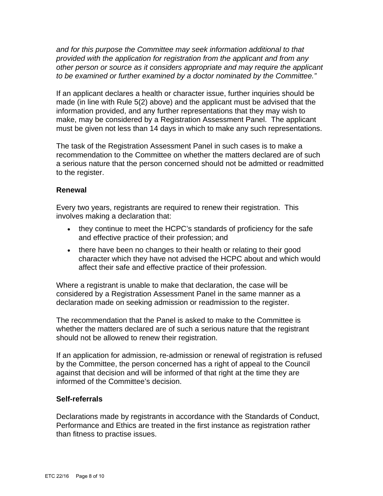*and for this purpose the Committee may seek information additional to that provided with the application for registration from the applicant and from any other person or source as it considers appropriate and may require the applicant to be examined or further examined by a doctor nominated by the Committee."* 

If an applicant declares a health or character issue, further inquiries should be made (in line with Rule 5(2) above) and the applicant must be advised that the information provided, and any further representations that they may wish to make, may be considered by a Registration Assessment Panel. The applicant must be given not less than 14 days in which to make any such representations.

The task of the Registration Assessment Panel in such cases is to make a recommendation to the Committee on whether the matters declared are of such a serious nature that the person concerned should not be admitted or readmitted to the register.

#### **Renewal**

Every two years, registrants are required to renew their registration. This involves making a declaration that:

- they continue to meet the HCPC's standards of proficiency for the safe and effective practice of their profession; and
- there have been no changes to their health or relating to their good character which they have not advised the HCPC about and which would affect their safe and effective practice of their profession.

Where a registrant is unable to make that declaration, the case will be considered by a Registration Assessment Panel in the same manner as a declaration made on seeking admission or readmission to the register.

The recommendation that the Panel is asked to make to the Committee is whether the matters declared are of such a serious nature that the registrant should not be allowed to renew their registration.

If an application for admission, re-admission or renewal of registration is refused by the Committee, the person concerned has a right of appeal to the Council against that decision and will be informed of that right at the time they are informed of the Committee's decision.

#### **Self-referrals**

Declarations made by registrants in accordance with the Standards of Conduct, Performance and Ethics are treated in the first instance as registration rather than fitness to practise issues.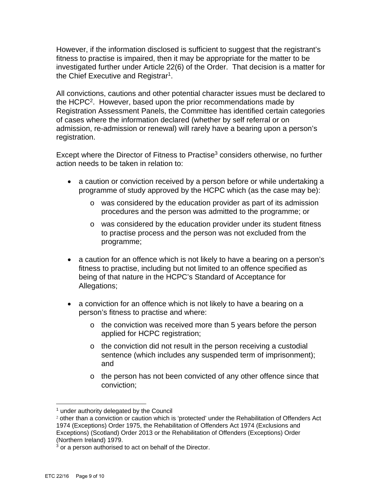However, if the information disclosed is sufficient to suggest that the registrant's fitness to practise is impaired, then it may be appropriate for the matter to be investigated further under Article 22(6) of the Order. That decision is a matter for the Chief Executive and Registrar<sup>1</sup>.

All convictions, cautions and other potential character issues must be declared to the HCPC2. However, based upon the prior recommendations made by Registration Assessment Panels, the Committee has identified certain categories of cases where the information declared (whether by self referral or on admission, re-admission or renewal) will rarely have a bearing upon a person's registration.

Except where the Director of Fitness to Practise<sup>3</sup> considers otherwise, no further action needs to be taken in relation to:

- a caution or conviction received by a person before or while undertaking a programme of study approved by the HCPC which (as the case may be):
	- o was considered by the education provider as part of its admission procedures and the person was admitted to the programme; or
	- o was considered by the education provider under its student fitness to practise process and the person was not excluded from the programme;
- a caution for an offence which is not likely to have a bearing on a person's fitness to practise, including but not limited to an offence specified as being of that nature in the HCPC's Standard of Acceptance for Allegations;
- a conviction for an offence which is not likely to have a bearing on a person's fitness to practise and where:
	- o the conviction was received more than 5 years before the person applied for HCPC registration;
	- o the conviction did not result in the person receiving a custodial sentence (which includes any suspended term of imprisonment); and
	- o the person has not been convicted of any other offence since that conviction;

 $\overline{a}$ 

<sup>&</sup>lt;sup>1</sup> under authority delegated by the Council

<sup>2</sup> other than a conviction or caution which is 'protected' under the Rehabilitation of Offenders Act 1974 (Exceptions) Order 1975, the Rehabilitation of Offenders Act 1974 (Exclusions and Exceptions) (Scotland) Order 2013 or the Rehabilitation of Offenders (Exceptions) Order (Northern Ireland) 1979.

 $3$  or a person authorised to act on behalf of the Director.